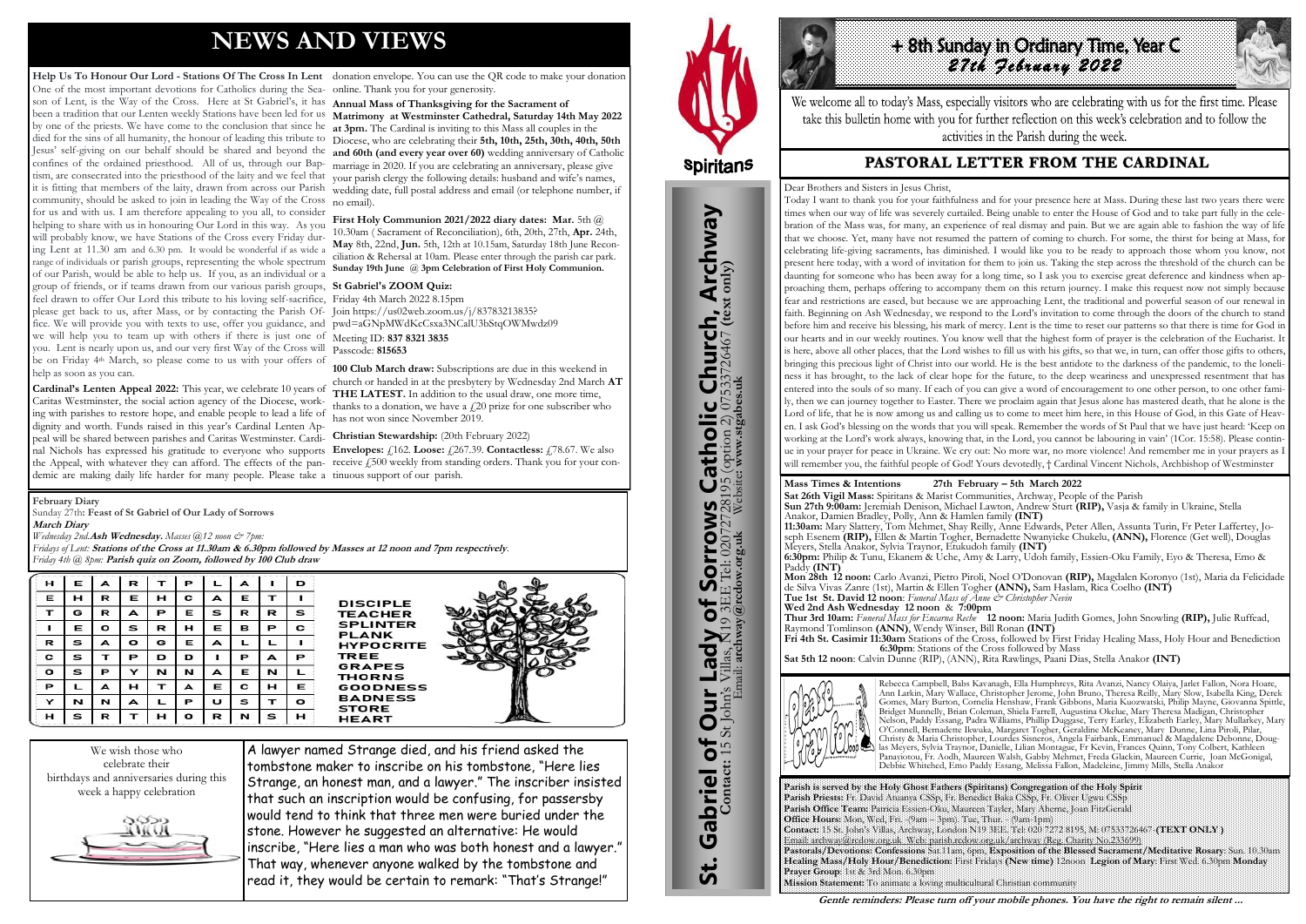# **NEWS AND VIEWS**

**Help Us To Honour Our Lord - Stations Of The Cross In Lent** donation envelope. You can use the QR code to make your donation One of the most important devotions for Catholics during the Sea-online. Thank you for your generosity. son of Lent, is the Way of the Cross. Here at St Gabriel's, it has **Annual Mass of Thanksgiving for the Sacrament of**  been a tradition that our Lenten weekly Stations have been led for us **Matrimony at Westminster Cathedral, Saturday 14th May 2022**  by one of the priests. We have come to the conclusion that since he died for the sins of all humanity, the honour of leading this tribute to Diocese, who are celebrating their **5th, 10th, 25th, 30th, 40th, 50th**  Jesus' self-giving on our behalf should be shared and beyond the **and 60th (and every year over 60)** wedding anniversary of Catholic confines of the ordained priesthood. All of us, through our Baptism, are consecrated into the priesthood of the laity and we feel that it is fitting that members of the laity, drawn from across our Parish community, should be asked to join in leading the Way of the Cross no email). for us and with us. I am therefore appealing to you all, to consider helping to share with us in honouring Our Lord in this way. As you will probably know, we have Stations of the Cross every Friday during Lent at 11.30 am and 6.30 pm. It would be wonderful if as wide a range of individuals or parish groups, representing the whole spectrum of our Parish, would be able to help us. If you, as an individual or a group of friends, or if teams drawn from our various parish groups, **St Gabriel's ZOOM Quiz:** feel drawn to offer Our Lord this tribute to his loving self-sacrifice, Friday 4th March 2022 8.15pm please get back to us, after Mass, or by contacting the Parish Of-Join https://us02web.zoom.us/j/83783213835? fice. We will provide you with texts to use, offer you guidance, and pwd=aGNpMWdKcCsxa3NCalU3bStqOWMwdz09 we will help you to team up with others if there is just one of Meeting ID: **837 8321 3835** you. Lent is nearly upon us, and our very first Way of the Cross will Passcode: **815653** be on Friday 4<sup>th</sup> March, so please come to us with your offers of help as soon as you can.

First Holy Communion 2021/2022 diary dates: Mar. 5th @ 10.30am ( Sacrament of Reconciliation), 6th, 20th, 27th, **Apr.** 24th, **May** 8th, 22nd, **Jun.** 5th, 12th at 10.15am, Saturday 18th June Reconciliation & Rehersal at 10am. Please enter through the parish car park. **Sunday 19th June** @ **3pm Celebration of First Holy Communion.**

**at 3pm.** The Cardinal is inviting to this Mass all couples in the marriage in 2020. If you are celebrating an anniversary, please give your parish clergy the following details: husband and wife's names, wedding date, full postal address and email (or telephone number, if

**Cardinal's Lenten Appeal 2022:** This year, we celebrate 10 years of Caritas Westminster, the social action agency of the Diocese, working with parishes to restore hope, and enable people to lead a life of dignity and worth. Funds raised in this year's Cardinal Lenten Appeal will be shared between parishes and Caritas Westminster. Cardinal Nichols has expressed his gratitude to everyone who supports **Envelopes:** £162. **Loose:** £267.39. **Contactless:** £78.67. We also the Appeal, with whatever they can afford. The effects of the pan- receive £500 weekly from standing orders. Thank you for your condemic are making daily life harder for many people. Please take a tinuous support of our parish.

**100 Club March draw:** Subscriptions are due in this weekend in church or handed in at the presbytery by Wednesday 2nd March **AT THE LATEST.** In addition to the usual draw, one more time, thanks to a donation, we have a  $f20$  prize for one subscriber who has not won since November 2019.

**Christian Stewardship:** (20th February 2022)

We wish those who celebrate their birthdays and anniversaries during this week a happy celebration



A lawyer named Strange died, and his friend asked the tombstone maker to inscribe on his tombstone, "Here lies Strange, an honest man, and a lawyer." The inscriber insisted that such an inscription would be confusing, for passersby would tend to think that three men were buried under the stone. However he suggested an alternative: He would inscribe, "Here lies a man who was both honest and a lawyer." That way, whenever anyone walked by the tombstone and read it, they would be certain to remark: "That's Strange!"



# **Spiritans**

#### **February Diary**

Sunday 27th**: Feast of St Gabriel of Our Lady of Sorrows March Diary**  *Wednesday 2nd.***Ash Wednesday.** *Masses @12 noon & 7pm:*

*Fridays of Lent:* **Stations of the Cross at 11.30am & 6.30pm followed by Masses at 12 noon and 7pm respectively***. Friday 4th @ 8pm:* **Parish quiz on Zoom, followed by 100 Club draw**

| н | Е | A | R            | т | Р |   | А |   | D |
|---|---|---|--------------|---|---|---|---|---|---|
| Е | н | R | Е            | н | с | A | Е | т | ш |
| т | G | R | A            | Р | Е | s | R | R | s |
|   | Е | o | s            | R | н | Е | в | Р | с |
| R | s | A | $\mathbf{o}$ | G | Е | А | L |   |   |
| с | s | т | Р            | D | D |   | Р | A | Р |
| o | s | Р | Y            | N | N | A | Е | N |   |
| Р | L | A | н            | т | A | Е | с | н | Е |
| Y | N | N | A            |   | Р | U | s | т | o |
|   | s | R | т            | н | o | R | N | s | н |







**Parish is served by the Holy Ghost Fathers (Spiritans) Congregation of the Holy Spirit Parish Priests:** Fr. David Atuanya CSSp, Fr. Benedict Baka CSSp, Fr. Oliver Ugwu CSSp **Parish Office Team:** Patricia Essien-Oku, Maureen Tayler, Mary Aherne, Joan FitzGerald **Office Hours:** Mon, Wed, Fri. -(9am – 3pm). Tue, Thur. - (9am-1pm) Email: archway@rcdow.org.uk Web: parish.rcdow.org.uk/archway (Reg. Charity No.233699) **Prayer Group**: 1st & 3rd Mon. 6.30pm **Mission Statement:** To animate a loving multicultural Christian community





We welcome all to today's Mass, especially visitors who are celebrating with us for the first time. Please take this bulletin home with you for further reflection on this week's celebration and to follow the activities in the Parish during the week.

# PASTORAL LETTER FROM THE CARDINAL

**Mass Times & Intentions 27th February – 5th March 2022 Sat 26th Vigil Mass:** Spiritans & Marist Communities, Archway, People of the Parish **Sun 27th 9:00am:** Jeremiah Denison, Michael Lawton, Andrew Sturt **(RIP),** Vasja & family in Ukraine, Stella Anakor, Damien Bradley, Polly, Ann & Hamlen family **(INT) 11:30am:** Mary Slattery, Tom Mehmet, Shay Reilly, Anne Edwards, Peter Allen, Assunta Turin, Fr Peter Laffertey, Joseph Esenem **(RIP),** Ellen & Martin Togher, Bernadette Nwanyieke Chukelu, **(ANN),** Florence (Get well), Douglas Meyers, Stella Anakor, Sylvia Traynor, Etukudoh family **(INT) 6:30pm:** Philip & Tunu, Ekanem & Uche, Amy & Larry, Udoh family, Essien-Oku Family, Eyo & Theresa, Emo & Paddy **(INT)**

**Mon 28th 12 noon:** Carlo Avanzi, Pietro Piroli, Noel O'Donovan **(RIP),** Magdalen Koronyo (1st), Maria da Felicidade de Silva Vivas Zanre (1st), Martin & Ellen Togher **(ANN),** Sam Haslam, Rica Coelho **(INT) Tue 1st St. David 12 noon**: *Funeral Mass of Anne & Christopher Nevin* **Wed 2nd Ash Wednesday 12 noon** & **7:00pm Thur 3rd 10am:** *Funeral Mass for Encarna Reche* **12 noon:** Maria Judith Gomes, John Snowling **(RIP),** Julie Ruffead, Raymond Tomlinson **(ANN)**, Wendy Winser, Bill Ronan **(INT)** 

**Fri 4th St. Casimir 11:30am** Stations of the Cross, followed by First Friday Healing Mass, Holy Hour and Benediction  **6:30pm**: Stations of the Cross followed by Mass **Sat 5th 12 noon**: Calvin Dunne (RIP), (ANN), Rita Rawlings, Paani Dias, Stella Anakor **(INT)**



Rebecca Campbell, Babs Kavanagh, Ella Humphreys, Rita Avanzi, Nancy Olaiya, Jarlet Fallon, Nora Hoare, Ann Larkin, Mary Wallace, Christopher Jerome, John Bruno, Theresa Reilly, Mary Slow, Isabella King, Derek Gomes, Mary Burton, Cornelia Henshaw, Frank Gibbons, Maria Kuozwatski, Philip Mayne, Giovanna Spittle, Bridget Munnelly, Brian Coleman, Shiela Farrell, Augustina Okelue, Mary Theresa Madigan, Christopher Nelson, Paddy Essang, Padra Williams, Phillip Duggase, Terry Earley, Elizabeth Earley, Mary Mullarkey, Mary O'Connell, Bernadette Ikwuka, Margaret Togher, Geraldine McKeaney, Mary Dunne, Lina Piroli, Pilar, Christy & Maria Christopher, Lourdes Sisneros, Angela Fairbank, Emmanuel & Magdalene Debonne, Douglas Meyers, Sylvia Traynor, Danielle, Lilian Montague, Fr Kevin, Frances Quinn, Tony Colbert, Kathleen Panayiotou, Fr. Aodh, Maureen Walsh, Gabby Mehmet, Freda Glackin, Maureen Currie, Joan McGonigal, Debbie Whitehed, Emo Paddy Essang, Melissa Fallon, Madeleine, Jimmy Mills, Stella Anakor

Dear Brothers and Sisters in Jesus Christ, Today I want to thank you for your faithfulness and for your presence here at Mass. During these last two years there were times when our way of life was severely curtailed. Being unable to enter the House of God and to take part fully in the celebration of the Mass was, for many, an experience of real dismay and pain. But we are again able to fashion the way of life that we choose. Yet, many have not resumed the pattern of coming to church. For some, the thirst for being at Mass, for celebrating life-giving sacraments, has diminished. I would like you to be ready to approach those whom you know, not present here today, with a word of invitation for them to join us. Taking the step across the threshold of the church can be daunting for someone who has been away for a long time, so I ask you to exercise great deference and kindness when approaching them, perhaps offering to accompany them on this return journey. I make this request now not simply because fear and restrictions are eased, but because we are approaching Lent, the traditional and powerful season of our renewal in faith. Beginning on Ash Wednesday, we respond to the Lord's invitation to come through the doors of the church to stand before him and receive his blessing, his mark of mercy. Lent is the time to reset our patterns so that there is time for God in our hearts and in our weekly routines. You know well that the highest form of prayer is the celebration of the Eucharist. It is here, above all other places, that the Lord wishes to fill us with his gifts, so that we, in turn, can offer those gifts to others, bringing this precious light of Christ into our world. He is the best antidote to the darkness of the pandemic, to the loneliness it has brought, to the lack of clear hope for the future, to the deep weariness and unexpressed resentment that has entered into the souls of so many. If each of you can give a word of encouragement to one other person, to one other family, then we can journey together to Easter. There we proclaim again that Jesus alone has mastered death, that he alone is the Lord of life, that he is now among us and calling us to come to meet him here, in this House of God, in this Gate of Heaven. I ask God's blessing on the words that you will speak. Remember the words of St Paul that we have just heard: 'Keep on working at the Lord's work always, knowing that, in the Lord, you cannot be labouring in vain' (1Cor. 15:58). Please continue in your prayer for peace in Ukraine. We cry out: No more war, no more violence! And remember me in your prayers as I will remember you, the faithful people of God! Yours devotedly, † Cardinal Vincent Nichols, Archbishop of Westminster